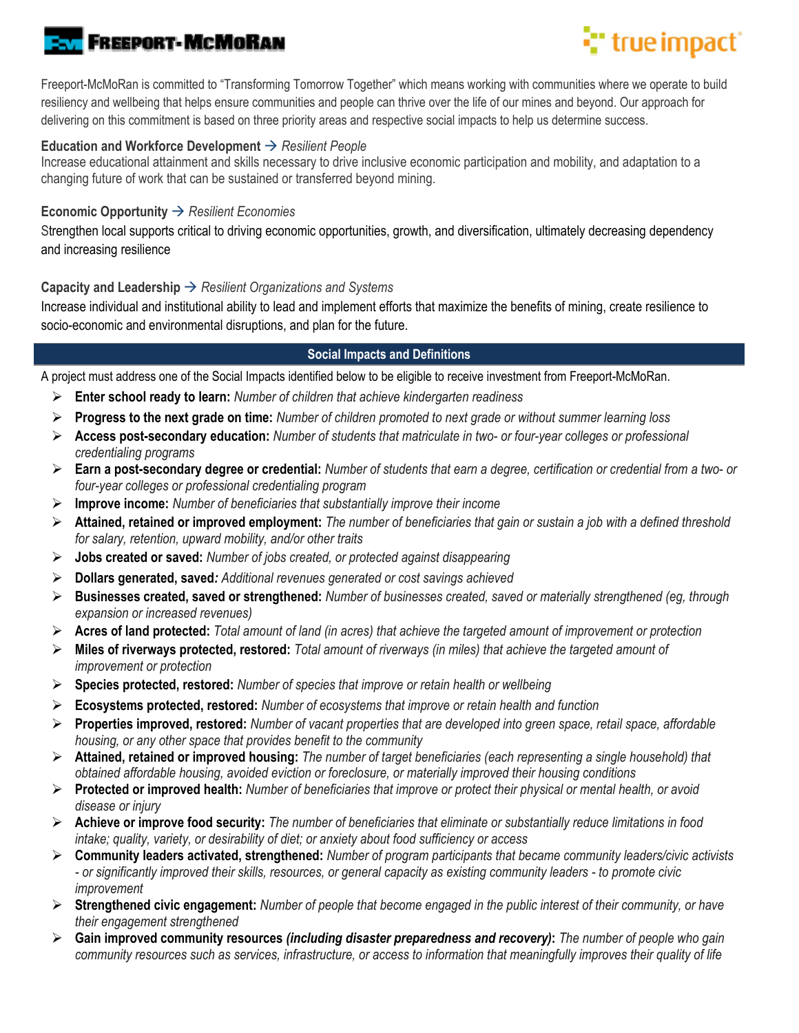# **FREEPORT-MCMORAN**

# **T** true impact

Freeport-McMoRan is committed to "Transforming Tomorrow Together" which means working with communities where we operate to build resiliency and wellbeing that helps ensure communities and people can thrive over the life of our mines and beyond. Our approach for delivering on this commitment is based on three priority areas and respective social impacts to help us determine success.

## **Education and Workforce Development** *Resilient People*

Increase educational attainment and skills necessary to drive inclusive economic participation and mobility, and adaptation to a changing future of work that can be sustained or transferred beyond mining.

### **Economic Opportunity → Resilient Economies**

Strengthen local supports critical to driving economic opportunities, growth, and diversification, ultimately decreasing dependency and increasing resilience

### **Capacity and Leadership**  $\rightarrow$  *Resilient Organizations and Systems*

Increase individual and institutional ability to lead and implement efforts that maximize the benefits of mining, create resilience to socio-economic and environmental disruptions, and plan for the future.

### **Social Impacts and Definitions**

A project must address one of the Social Impacts identified below to be eligible to receive investment from Freeport-McMoRan.

- **Enter school ready to learn:** *Number of children that achieve kindergarten readiness*
- **Progress to the next grade on time:** *Number of children promoted to next grade or without summer learning loss*
- **Access post-secondary education:** *Number of students that matriculate in two- or four-year colleges or professional credentialing programs*
- **Earn a post-secondary degree or credential:** *Number of students that earn a degree, certification or credential from a two- or four-year colleges or professional credentialing program*
- **Improve income:** *Number of beneficiaries that substantially improve their income*
- **Attained, retained or improved employment:** *The number of beneficiaries that gain or sustain a job with a defined threshold for salary, retention, upward mobility, and/or other traits*
- **Jobs created or saved:** *Number of jobs created, or protected against disappearing*
- **Dollars generated, saved***: Additional revenues generated or cost savings achieved*
- **Businesses created, saved or strengthened:** *Number of businesses created, saved or materially strengthened (eg, through expansion or increased revenues)*
- **Acres of land protected:** *Total amount of land (in acres) that achieve the targeted amount of improvement or protection*
- **Miles of riverways protected, restored:** *Total amount of riverways (in miles) that achieve the targeted amount of improvement or protection*
- **Species protected, restored:** *Number of species that improve or retain health or wellbeing*
- **Ecosystems protected, restored:** *Number of ecosystems that improve or retain health and function*
- **Properties improved, restored:** *Number of vacant properties that are developed into green space, retail space, affordable housing, or any other space that provides benefit to the community*
- **Attained, retained or improved housing:** *The number of target beneficiaries (each representing a single household) that obtained affordable housing, avoided eviction or foreclosure, or materially improved their housing conditions*
- **Protected or improved health:** *Number of beneficiaries that improve or protect their physical or mental health, or avoid disease or injury*
- **Achieve or improve food security:** *The number of beneficiaries that eliminate or substantially reduce limitations in food intake; quality, variety, or desirability of diet; or anxiety about food sufficiency or access*
- **Community leaders activated, strengthened:** *Number of program participants that became community leaders/civic activists - or significantly improved their skills, resources, or general capacity as existing community leaders - to promote civic improvement*
- **Strengthened civic engagement:** *Number of people that become engaged in the public interest of their community, or have their engagement strengthened*
- **Gain improved community resources** *(including disaster preparedness and recovery)***:** *The number of people who gain community resources such as services, infrastructure, or access to information that meaningfully improves their quality of life*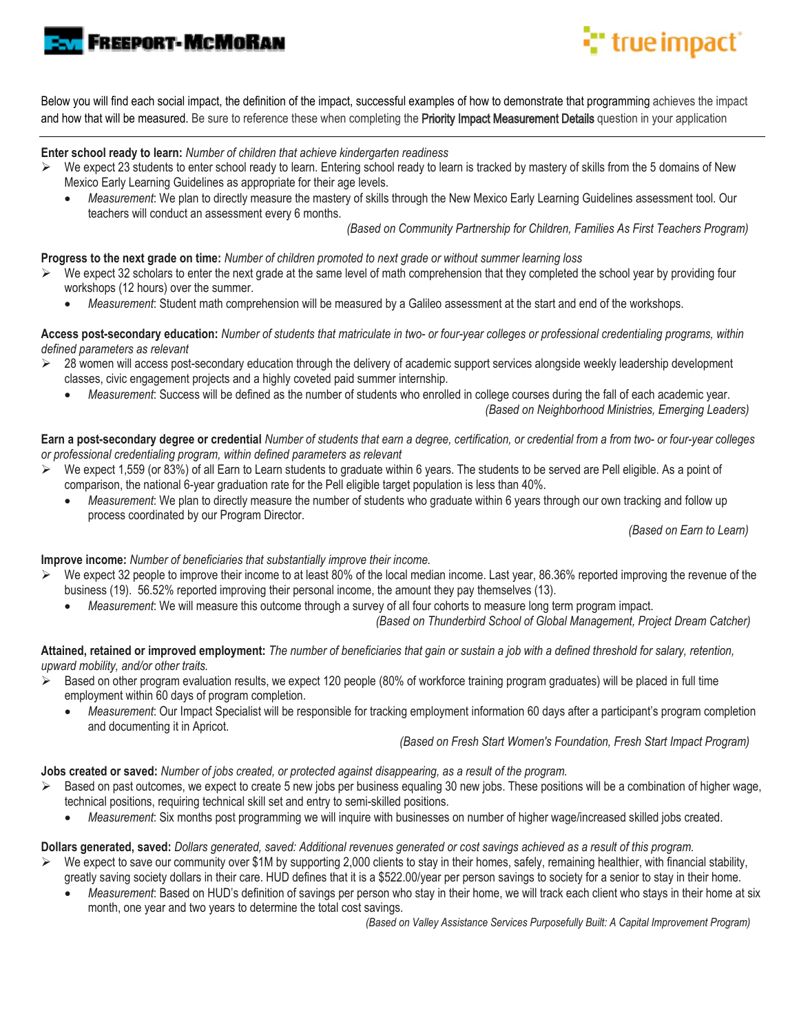

# **:"** true impact

Below you will find each social impact, the definition of the impact, successful examples of how to demonstrate that programming achieves the impact and how that will be measured. Be sure to reference these when completing the Priority Impact Measurement Details question in your application

**Enter school ready to learn:** *Number of children that achieve kindergarten readiness*

- $\triangleright$  We expect 23 students to enter school ready to learn. Entering school ready to learn is tracked by mastery of skills from the 5 domains of New Mexico Early Learning Guidelines as appropriate for their age levels.
	- *Measurement*: We plan to directly measure the mastery of skills through the New Mexico Early Learning Guidelines assessment tool. Our teachers will conduct an assessment every 6 months.

 *(Based on Community Partnership for Children, Families As First Teachers Program)* 

**Progress to the next grade on time:** *Number of children promoted to next grade or without summer learning loss* 

- We expect 32 scholars to enter the next grade at the same level of math comprehension that they completed the school year by providing four workshops (12 hours) over the summer.
	- *Measurement*: Student math comprehension will be measured by a Galileo assessment at the start and end of the workshops.

**Access post-secondary education:** *Number of students that matriculate in two- or four-year colleges or professional credentialing programs, within defined parameters as relevant* 

- $\geq$  28 women will access post-secondary education through the delivery of academic support services alongside weekly leadership development classes, civic engagement projects and a highly coveted paid summer internship.
	- *Measurement*: Success will be defined as the number of students who enrolled in college courses during the fall of each academic year. *(Based on Neighborhood Ministries, Emerging Leaders)*

**Earn a post-secondary degree or credential** *Number of students that earn a degree, certification, or credential from a from two- or four-year colleges or professional credentialing program, within defined parameters as relevant* 

- $\triangleright$  We expect 1,559 (or 83%) of all Earn to Learn students to graduate within 6 years. The students to be served are Pell eligible. As a point of comparison, the national 6-year graduation rate for the Pell eligible target population is less than 40%.
	- *Measurement*: We plan to directly measure the number of students who graduate within 6 years through our own tracking and follow up process coordinated by our Program Director.

 *(Based on Earn to Learn)* 

**Improve income:** *Number of beneficiaries that substantially improve their income.*

- $\triangleright$  We expect 32 people to improve their income to at least 80% of the local median income. Last year, 86.36% reported improving the revenue of the business (19). 56.52% reported improving their personal income, the amount they pay themselves (13).
	- *Measurement*: We will measure this outcome through a survey of all four cohorts to measure long term program impact.

 *(Based on Thunderbird School of Global Management, Project Dream Catcher)*

**Attained, retained or improved employment:** *The number of beneficiaries that gain or sustain a job with a defined threshold for salary, retention, upward mobility, and/or other traits.*

- $\triangleright$  Based on other program evaluation results, we expect 120 people (80% of workforce training program graduates) will be placed in full time employment within 60 days of program completion.
	- *Measurement*: Our Impact Specialist will be responsible for tracking employment information 60 days after a participant's program completion and documenting it in Apricot.

 *(Based on Fresh Start Women's Foundation, Fresh Start Impact Program)* 

**Jobs created or saved:** *Number of jobs created, or protected against disappearing, as a result of the program.*

- $\triangleright$  Based on past outcomes, we expect to create 5 new jobs per business equaling 30 new jobs. These positions will be a combination of higher wage, technical positions, requiring technical skill set and entry to semi-skilled positions.
	- *Measurement*: Six months post programming we will inquire with businesses on number of higher wage/increased skilled jobs created.

**Dollars generated, saved:** *Dollars generated, saved: Additional revenues generated or cost savings achieved as a result of this program.*

- We expect to save our community over \$1M by supporting 2,000 clients to stay in their homes, safely, remaining healthier, with financial stability, greatly saving society dollars in their care. HUD defines that it is a \$522.00/year per person savings to society for a senior to stay in their home.
	- *Measurement*: Based on HUD's definition of savings per person who stay in their home, we will track each client who stays in their home at six month, one year and two years to determine the total cost savings.

 *(Based on Valley Assistance Services Purposefully Built: A Capital Improvement Program)*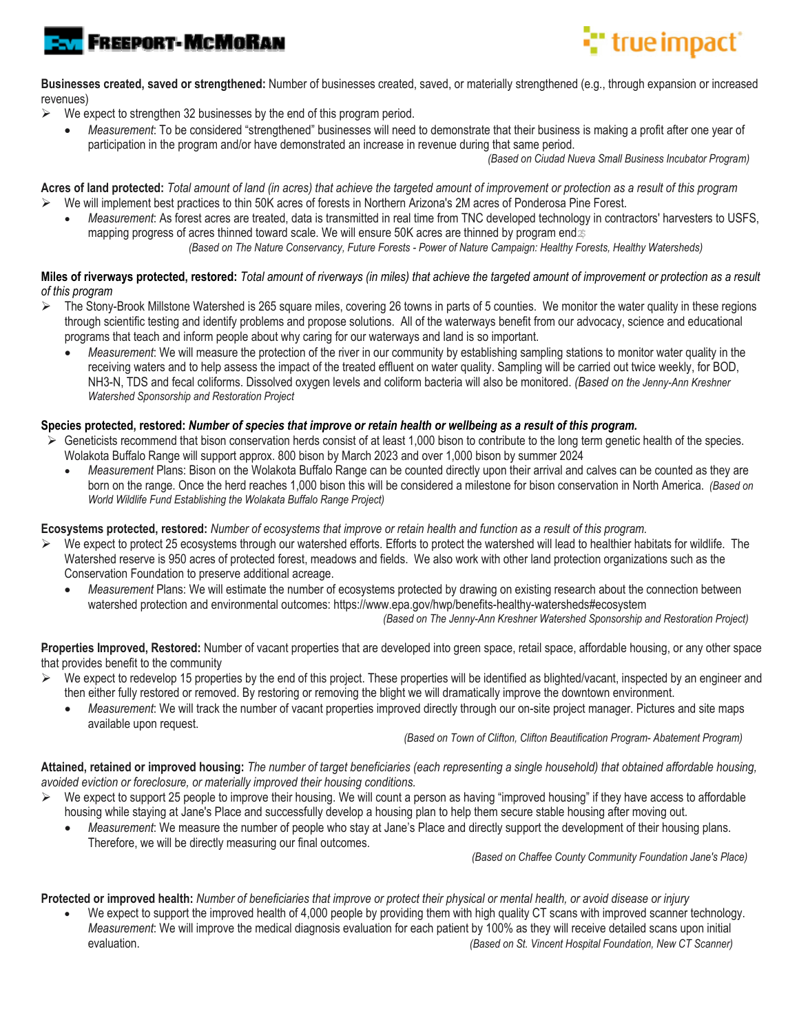



**Businesses created, saved or strengthened:** Number of businesses created, saved, or materially strengthened (e.g., through expansion or increased revenues)

- $\triangleright$  We expect to strengthen 32 businesses by the end of this program period.
	- *Measurement*: To be considered "strengthened" businesses will need to demonstrate that their business is making a profit after one year of participation in the program and/or have demonstrated an increase in revenue during that same period.

 *(Based on Ciudad Nueva Small Business Incubator Program)*

**Acres of land protected:** *Total amount of land (in acres) that achieve the targeted amount of improvement or protection as a result of this program* We will implement best practices to thin 50K acres of forests in Northern Arizona's 2M acres of Ponderosa Pine Forest.

 *Measurement*: As forest acres are treated, data is transmitted in real time from TNC developed technology in contractors' harvesters to USFS, mapping progress of acres thinned toward scale. We will ensure 50K acres are thinned by program end  $\gg$ 

*(Based on The Nature Conservancy, Future Forests - Power of Nature Campaign: Healthy Forests, Healthy Watersheds)* 

#### **Miles of riverways protected, restored:** *Total amount of riverways (in miles) that achieve the targeted amount of improvement or protection as a result of this program*

- The Stony-Brook Millstone Watershed is 265 square miles, covering 26 towns in parts of 5 counties. We monitor the water quality in these regions through scientific testing and identify problems and propose solutions. All of the waterways benefit from our advocacy, science and educational programs that teach and inform people about why caring for our waterways and land is so important.
	- *Measurement*: We will measure the protection of the river in our community by establishing sampling stations to monitor water quality in the receiving waters and to help assess the impact of the treated effluent on water quality. Sampling will be carried out twice weekly, for BOD, NH3-N, TDS and fecal coliforms. Dissolved oxygen levels and coliform bacteria will also be monitored. *(Based on the Jenny-Ann Kreshner Watershed Sponsorship and Restoration Project*

#### **Species protected, restored:** *Number of species that improve or retain health or wellbeing as a result of this program.*

- $\triangleright$  Geneticists recommend that bison conservation herds consist of at least 1,000 bison to contribute to the long term genetic health of the species. Wolakota Buffalo Range will support approx. 800 bison by March 2023 and over 1,000 bison by summer 2024
	- *Measurement* Plans: Bison on the Wolakota Buffalo Range can be counted directly upon their arrival and calves can be counted as they are born on the range. Once the herd reaches 1,000 bison this will be considered a milestone for bison conservation in North America. *(Based on World Wildlife Fund Establishing the Wolakata Buffalo Range Project)*

#### **Ecosystems protected, restored:** *Number of ecosystems that improve or retain health and function as a result of this program.*

- We expect to protect 25 ecosystems through our watershed efforts. Efforts to protect the watershed will lead to healthier habitats for wildlife. The Watershed reserve is 950 acres of protected forest, meadows and fields. We also work with other land protection organizations such as the Conservation Foundation to preserve additional acreage.
	- *Measurement* Plans: We will estimate the number of ecosystems protected by drawing on existing research about the connection between watershed protection and environmental outcomes: https://www.epa.gov/hwp/benefits-healthy-watersheds#ecosystem

 *(Based on The Jenny-Ann Kreshner Watershed Sponsorship and Restoration Project)* 

**Properties Improved, Restored:** Number of vacant properties that are developed into green space, retail space, affordable housing, or any other space that provides benefit to the community

- $\triangleright$  We expect to redevelop 15 properties by the end of this project. These properties will be identified as blighted/vacant, inspected by an engineer and then either fully restored or removed. By restoring or removing the blight we will dramatically improve the downtown environment.
	- *Measurement*: We will track the number of vacant properties improved directly through our on-site project manager. Pictures and site maps available upon request.

 *(Based on Town of Clifton, Clifton Beautification Program- Abatement Program)*

**Attained, retained or improved housing:** *The number of target beneficiaries (each representing a single household) that obtained affordable housing, avoided eviction or foreclosure, or materially improved their housing conditions.* 

- We expect to support 25 people to improve their housing. We will count a person as having "improved housing" if they have access to affordable housing while staying at Jane's Place and successfully develop a housing plan to help them secure stable housing after moving out.
	- *Measurement*: We measure the number of people who stay at Jane's Place and directly support the development of their housing plans. Therefore, we will be directly measuring our final outcomes.

 *(Based on Chaffee County Community Foundation Jane's Place)*

**Protected or improved health:** *Number of beneficiaries that improve or protect their physical or mental health, or avoid disease or injury*

We expect to support the improved health of 4,000 people by providing them with high quality CT scans with improved scanner technology. *Measurement*: We will improve the medical diagnosis evaluation for each patient by 100% as they will receive detailed scans upon initial evaluation. *(Based on St. Vincent Hospital Foundation, New CT Scanner)*